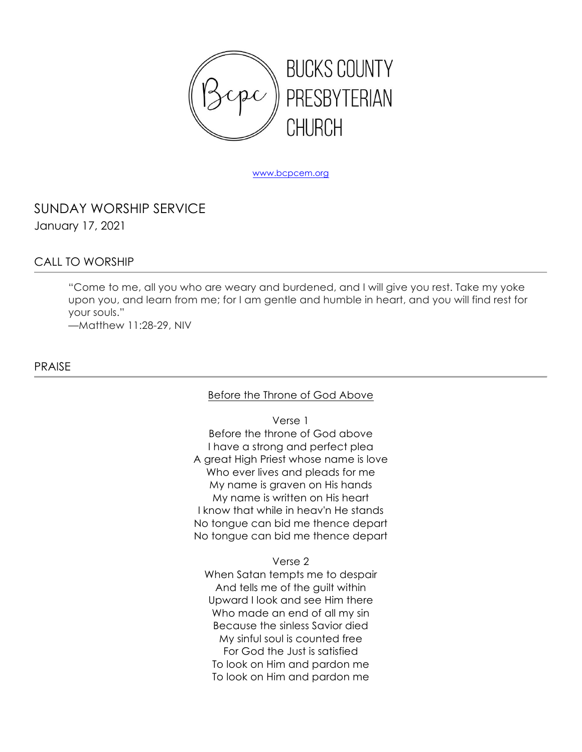

www.bcpcem.org

SUNDAY WORSHIP SERVICE January 17, 2021

### CALL TO WORSHIP

"Come to me, all you who are weary and burdened, and I will give you rest. Take my yoke upon you, and learn from me; for I am gentle and humble in heart, and you will find rest for your souls."

—Matthew 11:28-29, NIV

#### PRAISE

Before the Throne of God Above

Verse 1 Before the throne of God above I have a strong and perfect plea A great High Priest whose name is love Who ever lives and pleads for me My name is graven on His hands My name is written on His heart I know that while in heav'n He stands No tongue can bid me thence depart No tongue can bid me thence depart

Verse 2

When Satan tempts me to despair And tells me of the guilt within Upward I look and see Him there Who made an end of all my sin Because the sinless Savior died My sinful soul is counted free For God the Just is satisfied To look on Him and pardon me To look on Him and pardon me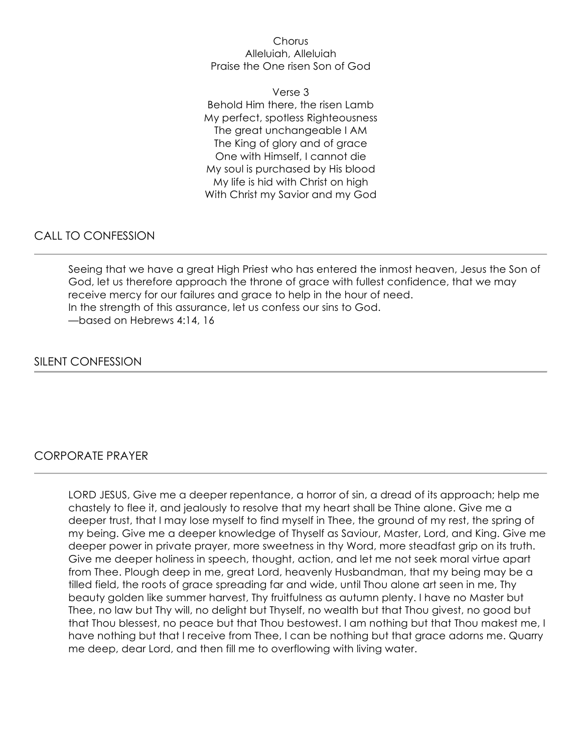#### Chorus Alleluiah, Alleluiah Praise the One risen Son of God

Verse 3 Behold Him there, the risen Lamb My perfect, spotless Righteousness The great unchangeable I AM The King of glory and of grace One with Himself, I cannot die My soul is purchased by His blood My life is hid with Christ on high With Christ my Savior and my God

## CALL TO CONFESSION

Seeing that we have a great High Priest who has entered the inmost heaven, Jesus the Son of God, let us therefore approach the throne of grace with fullest confidence, that we may receive mercy for our failures and grace to help in the hour of need. In the strength of this assurance, let us confess our sins to God. —based on Hebrews 4:14, 16

## SILENT CONFESSION

# CORPORATE PRAYER

LORD JESUS, Give me a deeper repentance, a horror of sin, a dread of its approach; help me chastely to flee it, and jealously to resolve that my heart shall be Thine alone. Give me a deeper trust, that I may lose myself to find myself in Thee, the ground of my rest, the spring of my being. Give me a deeper knowledge of Thyself as Saviour, Master, Lord, and King. Give me deeper power in private prayer, more sweetness in thy Word, more steadfast grip on its truth. Give me deeper holiness in speech, thought, action, and let me not seek moral virtue apart from Thee. Plough deep in me, great Lord, heavenly Husbandman, that my being may be a tilled field, the roots of grace spreading far and wide, until Thou alone art seen in me, Thy beauty golden like summer harvest, Thy fruitfulness as autumn plenty. I have no Master but Thee, no law but Thy will, no delight but Thyself, no wealth but that Thou givest, no good but that Thou blessest, no peace but that Thou bestowest. I am nothing but that Thou makest me, I have nothing but that I receive from Thee, I can be nothing but that grace adorns me. Quarry me deep, dear Lord, and then fill me to overflowing with living water.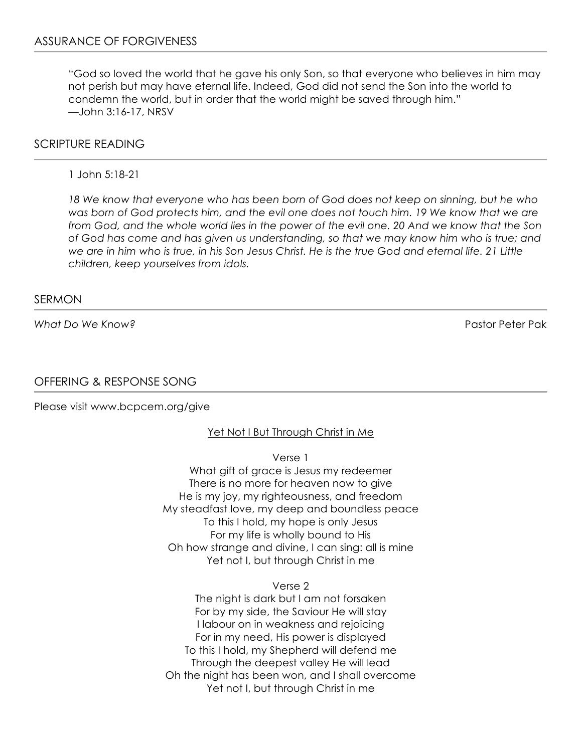"God so loved the world that he gave his only Son, so that everyone who believes in him may not perish but may have eternal life. Indeed, God did not send the Son into the world to condemn the world, but in order that the world might be saved through him." —John 3:16-17, NRSV

### SCRIPTURE READING

1 John 5:18-21

*18 We know that everyone who has been born of God does not keep on sinning, but he who was born of God protects him, and the evil one does not touch him. 19 We know that we are from God, and the whole world lies in the power of the evil one. 20 And we know that the Son of God has come and has given us understanding, so that we may know him who is true; and*  we are in him who is true, in his Son Jesus Christ. He is the true God and eternal life. 21 Little *children, keep yourselves from idols.*

### SERMON

*What Do We Know?* Pastor Peter Pak

### OFFERING & RESPONSE SONG

Please visit www.bcpcem.org/give

#### Yet Not I But Through Christ in Me

Verse 1

What gift of grace is Jesus my redeemer There is no more for heaven now to give He is my joy, my righteousness, and freedom My steadfast love, my deep and boundless peace To this I hold, my hope is only Jesus For my life is wholly bound to His Oh how strange and divine, I can sing: all is mine Yet not I, but through Christ in me

#### Verse 2

The night is dark but I am not forsaken For by my side, the Saviour He will stay I labour on in weakness and rejoicing For in my need, His power is displayed To this I hold, my Shepherd will defend me Through the deepest valley He will lead Oh the night has been won, and I shall overcome Yet not I, but through Christ in me